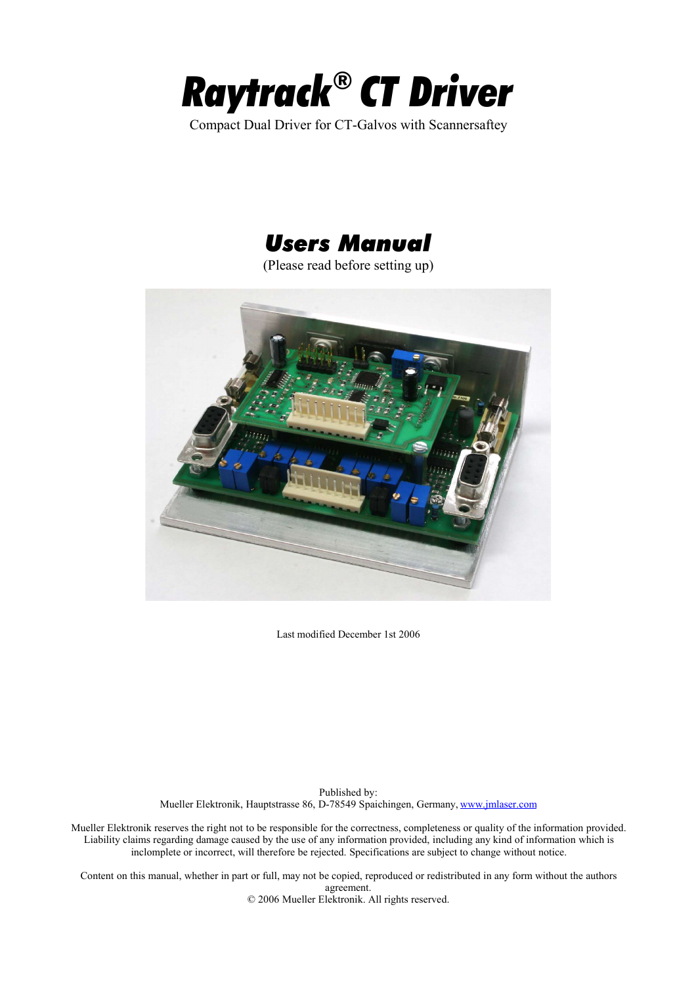

Compact Dual Driver for CT-Galvos with Scannersaftey



(Please read before setting up)



Last modified December 1st 2006

Published by: Mueller Elektronik, Hauptstrasse 86, D-78549 Spaichingen, Germany, www.jmlaser.com

Mueller Elektronik reserves the right not to be responsible for the correctness, completeness or quality of the information provided. Liability claims regarding damage caused by the use of any information provided, including any kind of information which is inclomplete or incorrect, will therefore be rejected. Specifications are subject to change without notice.

Content on this manual, whether in part or full, may not be copied, reproduced or redistributed in any form without the authors agreement. © 2006 Mueller Elektronik. All rights reserved.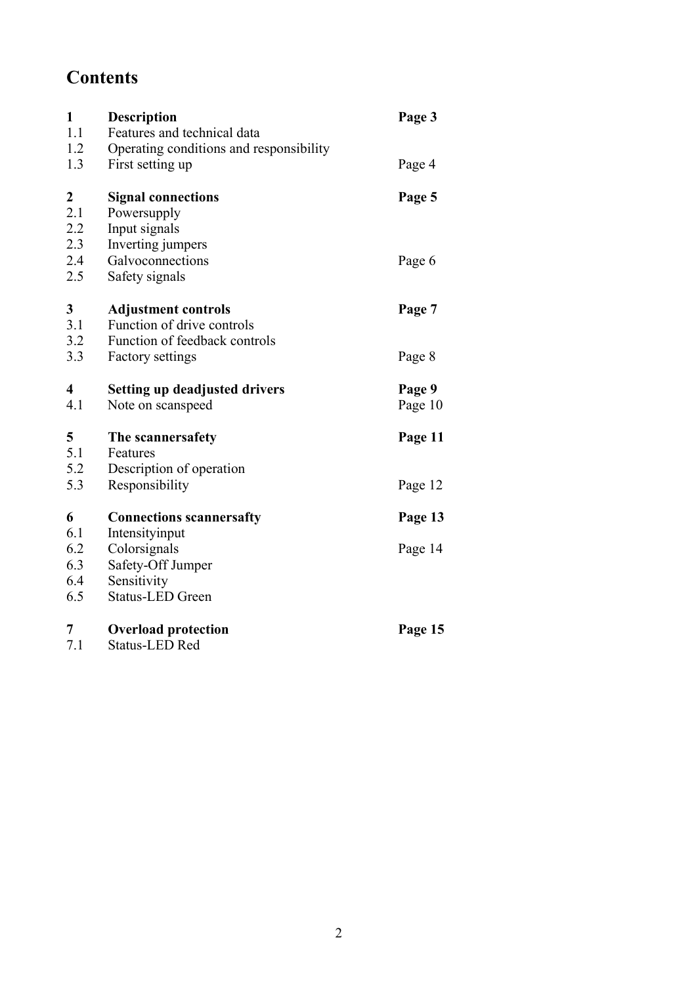# **Contents**

| $\mathbf{1}$     | <b>Description</b>                      | Page 3  |
|------------------|-----------------------------------------|---------|
| 1.1              | Features and technical data             |         |
| 1.2              | Operating conditions and responsibility |         |
| 1.3              | First setting up                        | Page 4  |
| $\boldsymbol{2}$ | <b>Signal connections</b>               | Page 5  |
| 2.1              | Powersupply                             |         |
| 2.2              | Input signals                           |         |
| 2.3              | Inverting jumpers                       |         |
| 2.4              | Galvoconnections                        | Page 6  |
| 2.5              | Safety signals                          |         |
| $\mathbf{3}$     | <b>Adjustment controls</b>              | Page 7  |
| 3.1              | Function of drive controls              |         |
| 3.2              | Function of feedback controls           |         |
| 3.3              | <b>Factory settings</b>                 | Page 8  |
| $\overline{4}$   | <b>Setting up deadjusted drivers</b>    | Page 9  |
| 4.1              | Note on scanspeed                       | Page 10 |
| 5                | The scannersafety                       | Page 11 |
| 5.1              | Features                                |         |
| 5.2              | Description of operation                |         |
| 5.3              | Responsibility                          | Page 12 |
| 6                | <b>Connections scannersafty</b>         | Page 13 |
| 6.1              | Intensityinput                          |         |
| 6.2              | Colorsignals                            | Page 14 |
| 6.3              | Safety-Off Jumper                       |         |
| 6.4              | Sensitivity                             |         |
| 6.5              | <b>Status-LED Green</b>                 |         |
| 7                | <b>Overload protection</b>              | Page 15 |
|                  |                                         |         |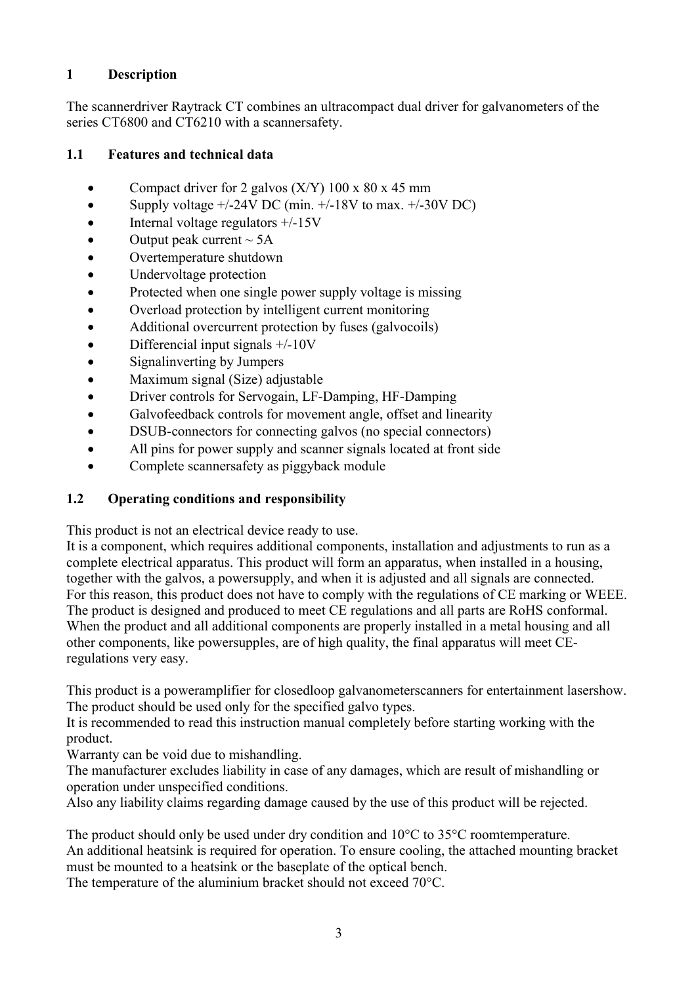#### **1 Description**

The scannerdriver Raytrack CT combines an ultracompact dual driver for galvanometers of the series CT6800 and CT6210 with a scannersafety.

#### **1.1 Features and technical data**

- Compact driver for 2 galvos  $(X/Y)$  100 x 80 x 45 mm
- Supply voltage  $+/-24V$  DC (min.  $+/-18V$  to max.  $+/-30V$  DC)
- Internal voltage regulators  $+/-15V$
- Output peak current  $\sim$  5A
- Overtemperature shutdown
- Undervoltage protection
- Protected when one single power supply voltage is missing
- · Overload protection by intelligent current monitoring
- Additional overcurrent protection by fuses (galvocoils)
- Differencial input signals  $+/-10V$
- Signal inverting by Jumpers
- Maximum signal (Size) adjustable
- · Driver controls for Servogain, LF-Damping, HF-Damping
- · Galvofeedback controls for movement angle, offset and linearity
- DSUB-connectors for connecting galvos (no special connectors)
- All pins for power supply and scanner signals located at front side
- Complete scannersafety as piggyback module

## **1.2 Operating conditions and responsibility**

This product is not an electrical device ready to use.

It is a component, which requires additional components, installation and adjustments to run as a complete electrical apparatus. This product will form an apparatus, when installed in a housing, together with the galvos, a powersupply, and when it is adjusted and all signals are connected. For this reason, this product does not have to comply with the regulations of CE marking or WEEE. The product is designed and produced to meet CE regulations and all parts are RoHS conformal. When the product and all additional components are properly installed in a metal housing and all other components, like powersupples, are of high quality, the final apparatus will meet CEregulations very easy.

This product is a poweramplifier for closedloop galvanometerscanners for entertainment lasershow. The product should be used only for the specified galvo types.

It is recommended to read this instruction manual completely before starting working with the product.

Warranty can be void due to mishandling.

The manufacturer excludes liability in case of any damages, which are result of mishandling or operation under unspecified conditions.

Also any liability claims regarding damage caused by the use of this product will be rejected.

The product should only be used under dry condition and 10°C to 35°C roomtemperature. An additional heatsink is required for operation. To ensure cooling, the attached mounting bracket must be mounted to a heatsink or the baseplate of the optical bench.

The temperature of the aluminium bracket should not exceed 70°C.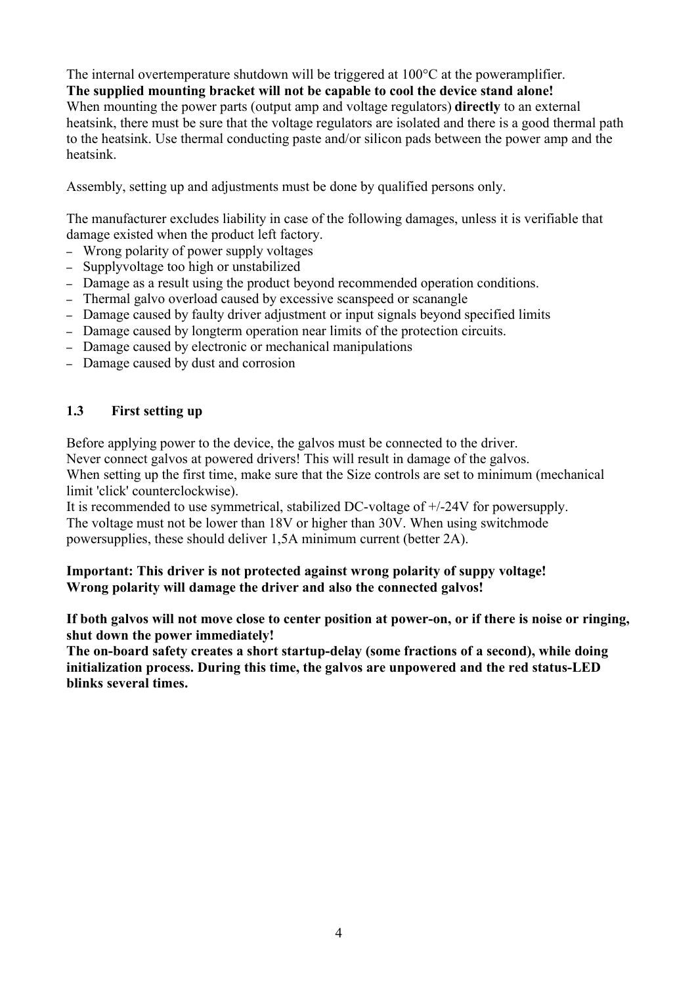The internal overtemperature shutdown will be triggered at 100°C at the poweramplifier. **The supplied mounting bracket will not be capable to cool the device stand alone!** When mounting the power parts (output amp and voltage regulators) **directly** to an external heatsink, there must be sure that the voltage regulators are isolated and there is a good thermal path to the heatsink. Use thermal conducting paste and/or silicon pads between the power amp and the heatsink.

Assembly, setting up and adjustments must be done by qualified persons only.

The manufacturer excludes liability in case of the following damages, unless it is verifiable that damage existed when the product left factory.

- Wrong polarity of power supply voltages
- Supplyvoltage too high or unstabilized
- Damage as a result using the product beyond recommended operation conditions.
- Thermal galvo overload caused by excessive scanspeed or scanangle
- Damage caused by faulty driver adjustment or input signals beyond specified limits
- Damage caused by longterm operation near limits of the protection circuits.
- Damage caused by electronic or mechanical manipulations
- Damage caused by dust and corrosion

#### **1.3 First setting up**

Before applying power to the device, the galvos must be connected to the driver.

Never connect galvos at powered drivers! This will result in damage of the galvos.

When setting up the first time, make sure that the Size controls are set to minimum (mechanical limit 'click' counterclockwise).

It is recommended to use symmetrical, stabilized DC-voltage of +/-24V for powersupply. The voltage must not be lower than 18V or higher than 30V. When using switchmode powersupplies, these should deliver 1,5A minimum current (better 2A).

#### **Important: This driver is not protected against wrong polarity of suppy voltage! Wrong polarity will damage the driver and also the connected galvos!**

**If both galvos will not move close to center position at power-on, or if there is noise or ringing, shut down the power immediately!**

**The on-board safety creates a short startup-delay (some fractions of a second), while doing initialization process. During this time, the galvos are unpowered and the red status-LED blinks several times.**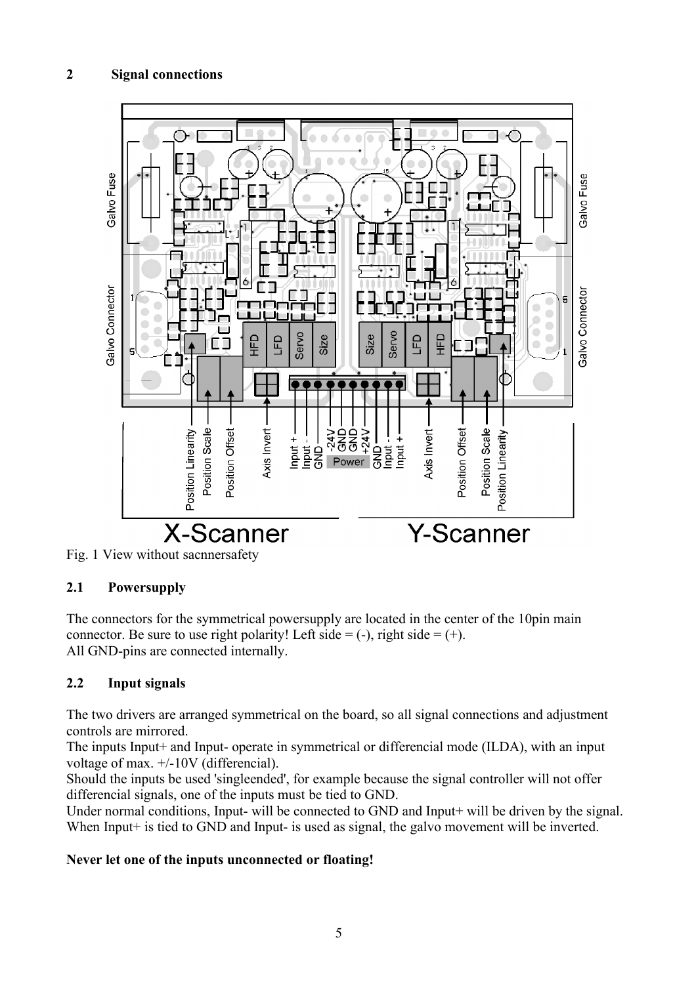## **2 Signal connections**





## **2.1 Powersupply**

The connectors for the symmetrical powersupply are located in the center of the 10pin main connector. Be sure to use right polarity! Left side  $= (-)$ , right side  $= (+)$ . All GND-pins are connected internally.

## **2.2 Input signals**

The two drivers are arranged symmetrical on the board, so all signal connections and adjustment controls are mirrored.

The inputs Input+ and Input- operate in symmetrical or differencial mode (ILDA), with an input voltage of max. +/-10V (differencial).

Should the inputs be used 'singleended', for example because the signal controller will not offer differencial signals, one of the inputs must be tied to GND.

Under normal conditions, Input- will be connected to GND and Input+ will be driven by the signal. When Input<sup>+</sup> is tied to GND and Input- is used as signal, the galvo movement will be inverted.

#### **Never let one of the inputs unconnected or floating!**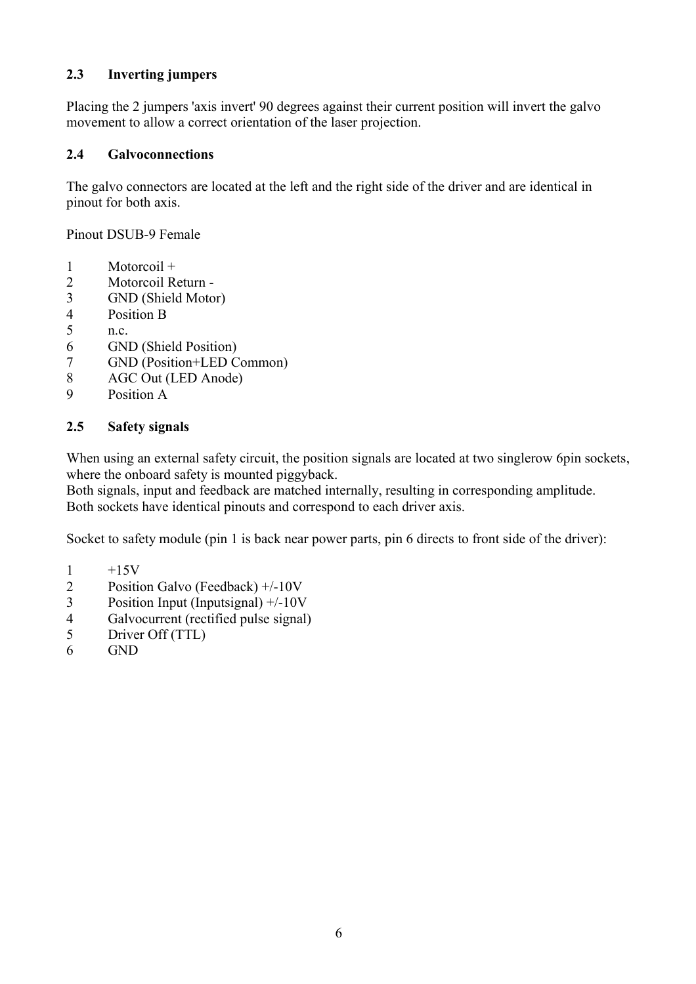## **2.3 Inverting jumpers**

Placing the 2 jumpers 'axis invert' 90 degrees against their current position will invert the galvo movement to allow a correct orientation of the laser projection.

#### **2.4 Galvoconnections**

The galvo connectors are located at the left and the right side of the driver and are identical in pinout for both axis.

Pinout DSUB-9 Female

- 1 Motorcoil +
- 2 Motorcoil Return -
- 3 GND (Shield Motor)
- 4 Position B
- 5 n.c.
- 6 GND (Shield Position)
- 7 GND (Position+LED Common)
- 8 AGC Out (LED Anode)
- 9 Position A

#### **2.5 Safety signals**

When using an external safety circuit, the position signals are located at two singlerow 6pin sockets, where the onboard safety is mounted piggyback.

Both signals, input and feedback are matched internally, resulting in corresponding amplitude. Both sockets have identical pinouts and correspond to each driver axis.

Socket to safety module (pin 1 is back near power parts, pin 6 directs to front side of the driver):

- $1 +15V$
- 2 Position Galvo (Feedback) +/-10V
- 3 Position Input (Inputsignal) +/-10V
- 4 Galvocurrent (rectified pulse signal)
- 5 Driver Off (TTL)
- 6 GND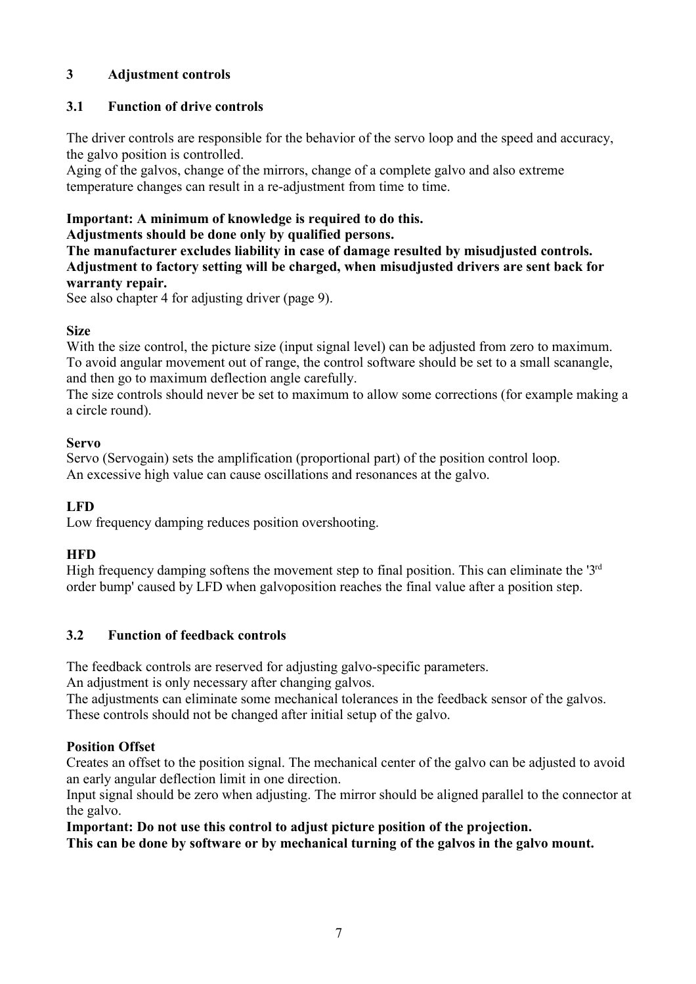## **3 Adjustment controls**

#### **3.1 Function of drive controls**

The driver controls are responsible for the behavior of the servo loop and the speed and accuracy, the galvo position is controlled.

Aging of the galvos, change of the mirrors, change of a complete galvo and also extreme temperature changes can result in a re-adjustment from time to time.

## **Important: A minimum of knowledge is required to do this.**

**Adjustments should be done only by qualified persons.**

**The manufacturer excludes liability in case of damage resulted by misudjusted controls. Adjustment to factory setting will be charged, when misudjusted drivers are sent back for warranty repair.**

See also chapter 4 for adjusting driver (page 9).

#### **Size**

With the size control, the picture size (input signal level) can be adjusted from zero to maximum. To avoid angular movement out of range, the control software should be set to a small scanangle, and then go to maximum deflection angle carefully.

The size controls should never be set to maximum to allow some corrections (for example making a a circle round).

#### **Servo**

Servo (Servogain) sets the amplification (proportional part) of the position control loop. An excessive high value can cause oscillations and resonances at the galvo.

## **LFD**

Low frequency damping reduces position overshooting.

## **HFD**

High frequency damping softens the movement step to final position. This can eliminate the '3<sup>rd</sup> order bump' caused by LFD when galvoposition reaches the final value after a position step.

## **3.2 Function of feedback controls**

The feedback controls are reserved for adjusting galvo-specific parameters.

An adjustment is only necessary after changing galvos.

The adjustments can eliminate some mechanical tolerances in the feedback sensor of the galvos. These controls should not be changed after initial setup of the galvo.

## **Position Offset**

Creates an offset to the position signal. The mechanical center of the galvo can be adjusted to avoid an early angular deflection limit in one direction.

Input signal should be zero when adjusting. The mirror should be aligned parallel to the connector at the galvo.

**Important: Do not use this control to adjust picture position of the projection.**

**This can be done by software or by mechanical turning of the galvos in the galvo mount.**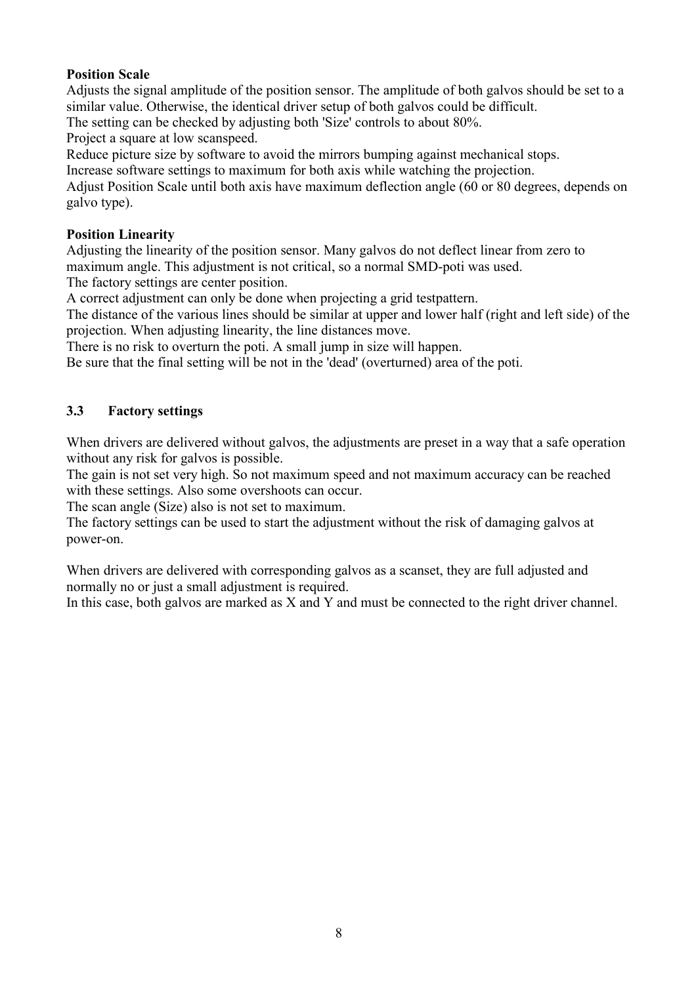#### **Position Scale**

Adjusts the signal amplitude of the position sensor. The amplitude of both galvos should be set to a similar value. Otherwise, the identical driver setup of both galvos could be difficult.

The setting can be checked by adjusting both 'Size' controls to about 80%.

Project a square at low scanspeed.

Reduce picture size by software to avoid the mirrors bumping against mechanical stops.

Increase software settings to maximum for both axis while watching the projection.

Adjust Position Scale until both axis have maximum deflection angle (60 or 80 degrees, depends on galvo type).

#### **Position Linearity**

Adjusting the linearity of the position sensor. Many galvos do not deflect linear from zero to maximum angle. This adjustment is not critical, so a normal SMD-poti was used.

The factory settings are center position.

A correct adjustment can only be done when projecting a grid testpattern.

The distance of the various lines should be similar at upper and lower half (right and left side) of the projection. When adjusting linearity, the line distances move.

There is no risk to overturn the poti. A small jump in size will happen.

Be sure that the final setting will be not in the 'dead' (overturned) area of the poti.

#### **3.3 Factory settings**

When drivers are delivered without galvos, the adjustments are preset in a way that a safe operation without any risk for galvos is possible.

The gain is not set very high. So not maximum speed and not maximum accuracy can be reached with these settings. Also some overshoots can occur.

The scan angle (Size) also is not set to maximum.

The factory settings can be used to start the adjustment without the risk of damaging galvos at power-on.

When drivers are delivered with corresponding galvos as a scanset, they are full adjusted and normally no or just a small adjustment is required.

In this case, both galvos are marked as X and Y and must be connected to the right driver channel.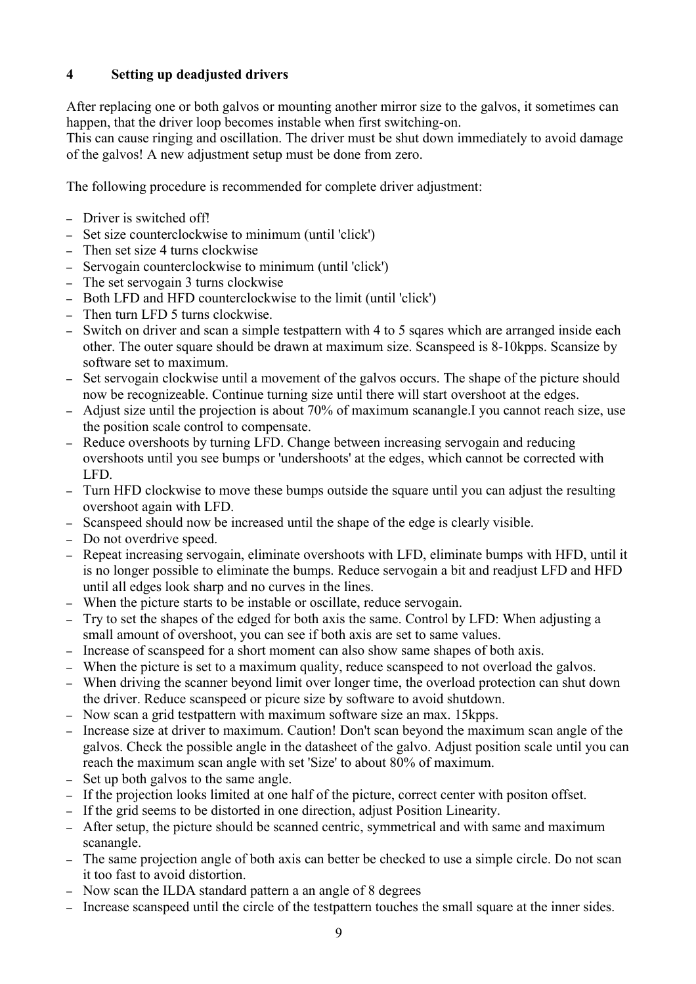## **4 Setting up deadjusted drivers**

After replacing one or both galvos or mounting another mirror size to the galvos, it sometimes can happen, that the driver loop becomes instable when first switching-on.

This can cause ringing and oscillation. The driver must be shut down immediately to avoid damage of the galvos! A new adjustment setup must be done from zero.

The following procedure is recommended for complete driver adjustment:

- Driver is switched off!
- Set size counterclockwise to minimum (until 'click')
- Then set size 4 turns clockwise
- Servogain counterclockwise to minimum (until 'click')
- The set servogain 3 turns clockwise
- Both LFD and HFD counterclockwise to the limit (until 'click')
- Then turn LFD 5 turns clockwise.
- Switch on driver and scan a simple testpattern with 4 to 5 sqares which are arranged inside each other. The outer square should be drawn at maximum size. Scanspeed is 8-10kpps. Scansize by software set to maximum.
- Set servogain clockwise until a movement of the galvos occurs. The shape of the picture should now be recognizeable. Continue turning size until there will start overshoot at the edges.
- Adjust size until the projection is about 70% of maximum scanangle.I you cannot reach size, use the position scale control to compensate.
- Reduce overshoots by turning LFD. Change between increasing servogain and reducing overshoots until you see bumps or 'undershoots' at the edges, which cannot be corrected with LFD.
- Turn HFD clockwise to move these bumps outside the square until you can adjust the resulting overshoot again with LFD.
- Scanspeed should now be increased until the shape of the edge is clearly visible.
- Do not overdrive speed.
- Repeat increasing servogain, eliminate overshoots with LFD, eliminate bumps with HFD, until it is no longer possible to eliminate the bumps. Reduce servogain a bit and readjust LFD and HFD until all edges look sharp and no curves in the lines.
- When the picture starts to be instable or oscillate, reduce servogain.
- Try to set the shapes of the edged for both axis the same. Control by LFD: When adjusting a small amount of overshoot, you can see if both axis are set to same values.
- Increase of scanspeed for a short moment can also show same shapes of both axis.
- When the picture is set to a maximum quality, reduce scanspeed to not overload the galvos.
- When driving the scanner beyond limit over longer time, the overload protection can shut down the driver. Reduce scanspeed or picure size by software to avoid shutdown.
- Now scan a grid testpattern with maximum software size an max. 15kpps.
- Increase size at driver to maximum. Caution! Don't scan beyond the maximum scan angle of the galvos. Check the possible angle in the datasheet of the galvo. Adjust position scale until you can reach the maximum scan angle with set 'Size' to about 80% of maximum.
- Set up both galvos to the same angle.
- If the projection looks limited at one half of the picture, correct center with positon offset.
- If the grid seems to be distorted in one direction, adjust Position Linearity.
- After setup, the picture should be scanned centric, symmetrical and with same and maximum scanangle.
- The same projection angle of both axis can better be checked to use a simple circle. Do not scan it too fast to avoid distortion.
- Now scan the ILDA standard pattern a an angle of 8 degrees
- Increase scanspeed until the circle of the testpattern touches the small square at the inner sides.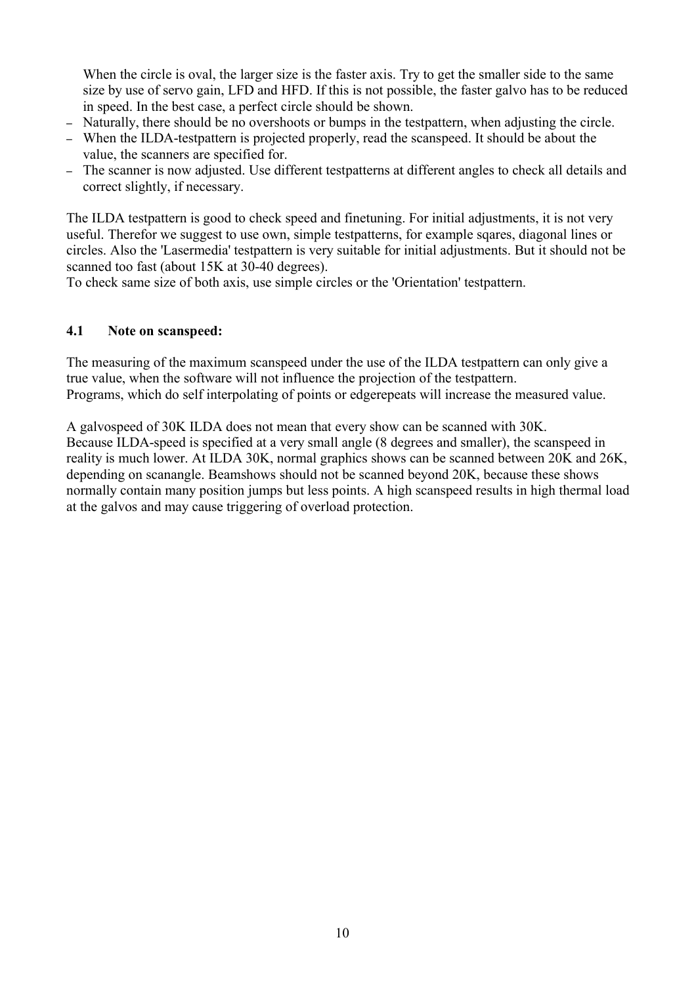When the circle is oval, the larger size is the faster axis. Try to get the smaller side to the same size by use of servo gain, LFD and HFD. If this is not possible, the faster galvo has to be reduced in speed. In the best case, a perfect circle should be shown.

- Naturally, there should be no overshoots or bumps in the testpattern, when adjusting the circle.
- When the ILDA-testpattern is projected properly, read the scanspeed. It should be about the value, the scanners are specified for.
- The scanner is now adjusted. Use different testpatterns at different angles to check all details and correct slightly, if necessary.

The ILDA testpattern is good to check speed and finetuning. For initial adjustments, it is not very useful. Therefor we suggest to use own, simple testpatterns, for example sqares, diagonal lines or circles. Also the 'Lasermedia' testpattern is very suitable for initial adjustments. But it should not be scanned too fast (about 15K at 30-40 degrees).

To check same size of both axis, use simple circles or the 'Orientation' testpattern.

#### **4.1 Note on scanspeed:**

The measuring of the maximum scanspeed under the use of the ILDA testpattern can only give a true value, when the software will not influence the projection of the testpattern. Programs, which do self interpolating of points or edgerepeats will increase the measured value.

A galvospeed of 30K ILDA does not mean that every show can be scanned with 30K. Because ILDA-speed is specified at a very small angle (8 degrees and smaller), the scanspeed in reality is much lower. At ILDA 30K, normal graphics shows can be scanned between 20K and 26K, depending on scanangle. Beamshows should not be scanned beyond 20K, because these shows normally contain many position jumps but less points. A high scanspeed results in high thermal load at the galvos and may cause triggering of overload protection.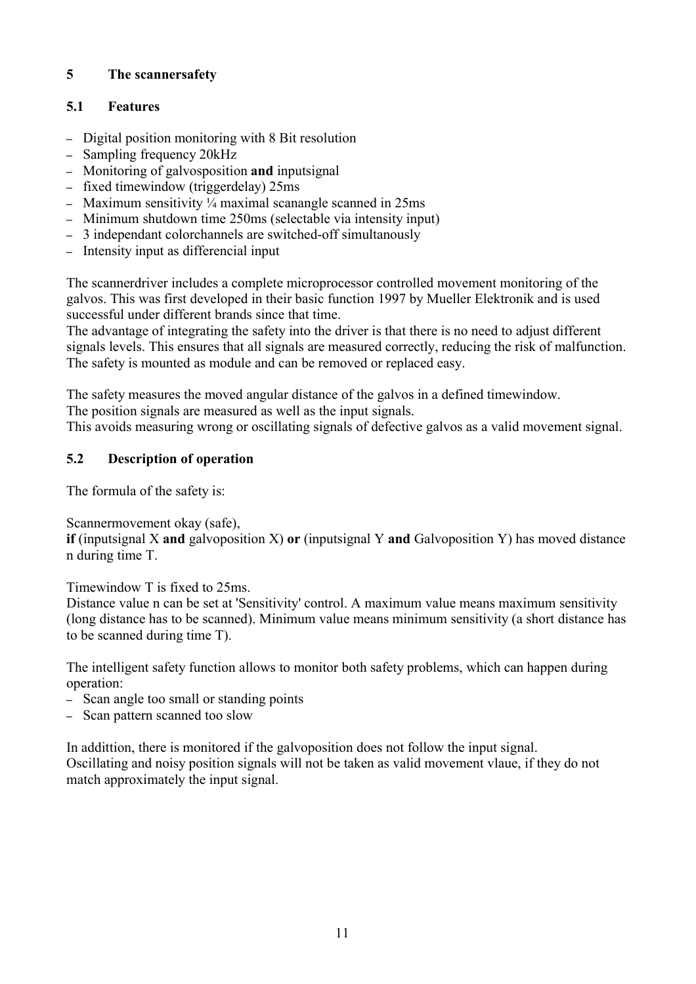## **5 The scannersafety**

## **5.1 Features**

- Digital position monitoring with 8 Bit resolution
- Sampling frequency 20kHz
- Monitoring of galvosposition **and** inputsignal
- fixed timewindow (triggerdelay) 25ms
- Maximum sensitivity  $\frac{1}{4}$  maximal scanangle scanned in 25ms
- Minimum shutdown time 250ms (selectable via intensity input)
- 3 independant colorchannels are switched-off simultanously
- Intensity input as differencial input

The scannerdriver includes a complete microprocessor controlled movement monitoring of the galvos. This was first developed in their basic function 1997 by Mueller Elektronik and is used successful under different brands since that time.

The advantage of integrating the safety into the driver is that there is no need to adjust different signals levels. This ensures that all signals are measured correctly, reducing the risk of malfunction. The safety is mounted as module and can be removed or replaced easy.

The safety measures the moved angular distance of the galvos in a defined timewindow. The position signals are measured as well as the input signals.

This avoids measuring wrong or oscillating signals of defective galvos as a valid movement signal.

## **5.2 Description of operation**

The formula of the safety is:

Scannermovement okay (safe),

**if** (inputsignal X **and** galvoposition X) **or** (inputsignal Y **and** Galvoposition Y) has moved distance n during time T.

Timewindow T is fixed to 25ms.

Distance value n can be set at 'Sensitivity' control. A maximum value means maximum sensitivity (long distance has to be scanned). Minimum value means minimum sensitivity (a short distance has to be scanned during time T).

The intelligent safety function allows to monitor both safety problems, which can happen during operation:

- Scan angle too small or standing points
- Scan pattern scanned too slow

In addittion, there is monitored if the galvoposition does not follow the input signal. Oscillating and noisy position signals will not be taken as valid movement vlaue, if they do not match approximately the input signal.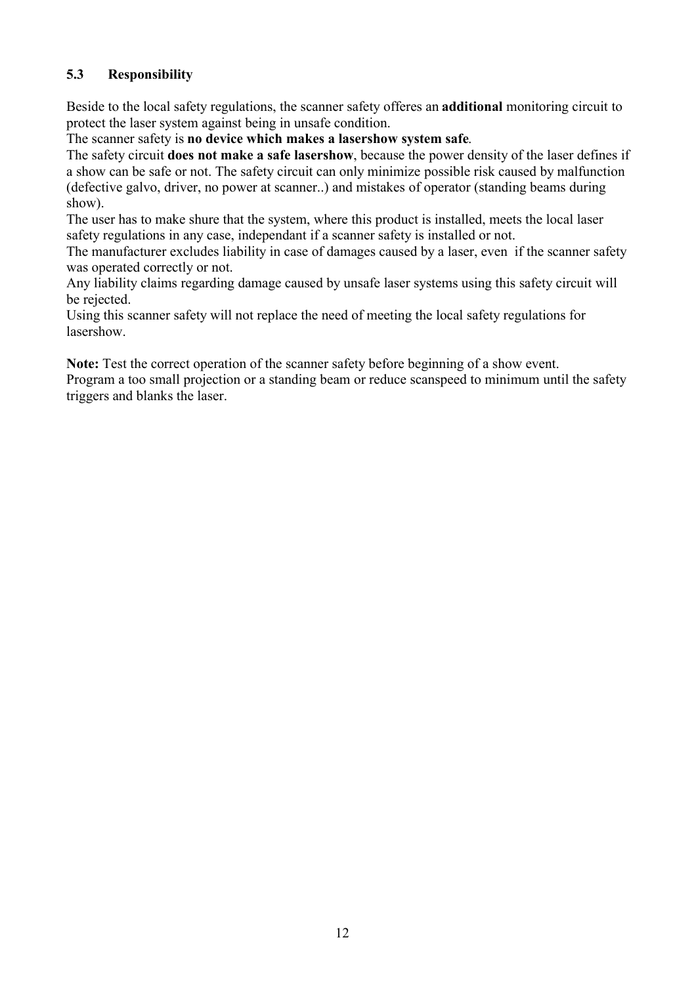## **5.3 Responsibility**

Beside to the local safety regulations, the scanner safety offeres an **additional** monitoring circuit to protect the laser system against being in unsafe condition.

The scanner safety is **no device which makes a lasershow system safe**.

The safety circuit **does not make a safe lasershow**, because the power density of the laser defines if a show can be safe or not. The safety circuit can only minimize possible risk caused by malfunction (defective galvo, driver, no power at scanner..) and mistakes of operator (standing beams during show).

The user has to make shure that the system, where this product is installed, meets the local laser safety regulations in any case, independant if a scanner safety is installed or not.

The manufacturer excludes liability in case of damages caused by a laser, even if the scanner safety was operated correctly or not.

Any liability claims regarding damage caused by unsafe laser systems using this safety circuit will be rejected.

Using this scanner safety will not replace the need of meeting the local safety regulations for lasershow.

**Note:** Test the correct operation of the scanner safety before beginning of a show event. Program a too small projection or a standing beam or reduce scanspeed to minimum until the safety triggers and blanks the laser.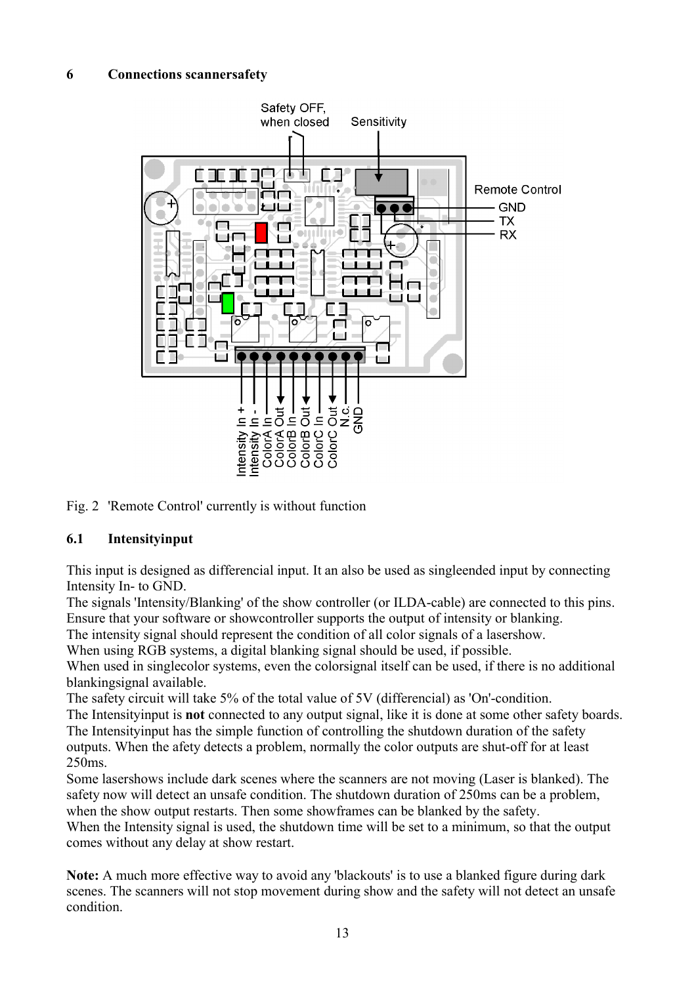#### **6 Connections scannersafety**



Fig. 2 'Remote Control' currently is without function

#### **6.1 Intensityinput**

This input is designed as differencial input. It an also be used as singleended input by connecting Intensity In- to GND.

The signals 'Intensity/Blanking' of the show controller (or ILDA-cable) are connected to this pins. Ensure that your software or showcontroller supports the output of intensity or blanking.

The intensity signal should represent the condition of all color signals of a lasershow.

When using RGB systems, a digital blanking signal should be used, if possible.

When used in singlecolor systems, even the colorsignal itself can be used, if there is no additional blankingsignal available.

The safety circuit will take 5% of the total value of 5V (differencial) as 'On'-condition.

The Intensityinput is **not** connected to any output signal, like it is done at some other safety boards. The Intensityinput has the simple function of controlling the shutdown duration of the safety outputs. When the afety detects a problem, normally the color outputs are shut-off for at least 250ms.

Some lasershows include dark scenes where the scanners are not moving (Laser is blanked). The safety now will detect an unsafe condition. The shutdown duration of 250ms can be a problem, when the show output restarts. Then some showframes can be blanked by the safety.

When the Intensity signal is used, the shutdown time will be set to a minimum, so that the output comes without any delay at show restart.

**Note:** A much more effective way to avoid any 'blackouts' is to use a blanked figure during dark scenes. The scanners will not stop movement during show and the safety will not detect an unsafe condition.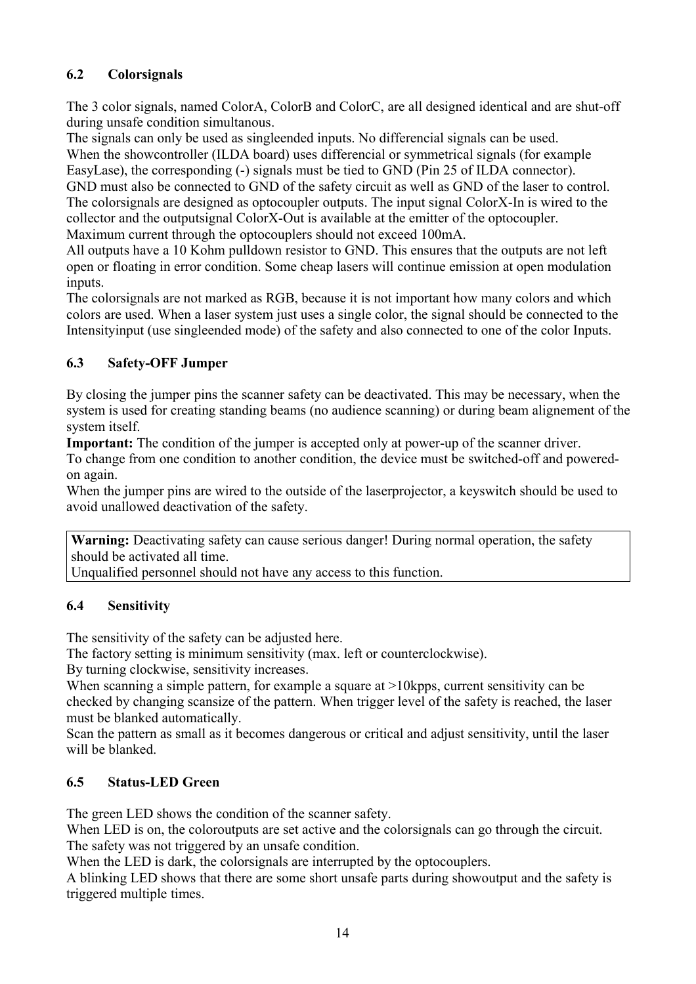## **6.2 Colorsignals**

The 3 color signals, named ColorA, ColorB and ColorC, are all designed identical and are shut-off during unsafe condition simultanous.

The signals can only be used as singleended inputs. No differencial signals can be used. When the showcontroller (ILDA board) uses differencial or symmetrical signals (for example EasyLase), the corresponding (-) signals must be tied to GND (Pin 25 of ILDA connector). GND must also be connected to GND of the safety circuit as well as GND of the laser to control. The colorsignals are designed as optocoupler outputs. The input signal ColorX-In is wired to the collector and the outputsignal ColorX-Out is available at the emitter of the optocoupler.

Maximum current through the optocouplers should not exceed 100mA.

All outputs have a 10 Kohm pulldown resistor to GND. This ensures that the outputs are not left open or floating in error condition. Some cheap lasers will continue emission at open modulation inputs.

The colorsignals are not marked as RGB, because it is not important how many colors and which colors are used. When a laser system just uses a single color, the signal should be connected to the Intensityinput (use singleended mode) of the safety and also connected to one of the color Inputs.

## **6.3 Safety-OFF Jumper**

By closing the jumper pins the scanner safety can be deactivated. This may be necessary, when the system is used for creating standing beams (no audience scanning) or during beam alignement of the system itself.

**Important:** The condition of the jumper is accepted only at power-up of the scanner driver.

To change from one condition to another condition, the device must be switched-off and poweredon again.

When the jumper pins are wired to the outside of the laserprojector, a keyswitch should be used to avoid unallowed deactivation of the safety.

**Warning:** Deactivating safety can cause serious danger! During normal operation, the safety should be activated all time.

Unqualified personnel should not have any access to this function.

## **6.4 Sensitivity**

The sensitivity of the safety can be adjusted here.

The factory setting is minimum sensitivity (max. left or counterclockwise).

By turning clockwise, sensitivity increases.

When scanning a simple pattern, for example a square at >10 kpps, current sensitivity can be checked by changing scansize of the pattern. When trigger level of the safety is reached, the laser must be blanked automatically.

Scan the pattern as small as it becomes dangerous or critical and adjust sensitivity, until the laser will be blanked.

## **6.5 Status-LED Green**

The green LED shows the condition of the scanner safety.

When LED is on, the coloroutputs are set active and the colorsignals can go through the circuit. The safety was not triggered by an unsafe condition.

When the LED is dark, the colorsignals are interrupted by the optocouplers.

A blinking LED shows that there are some short unsafe parts during showoutput and the safety is triggered multiple times.